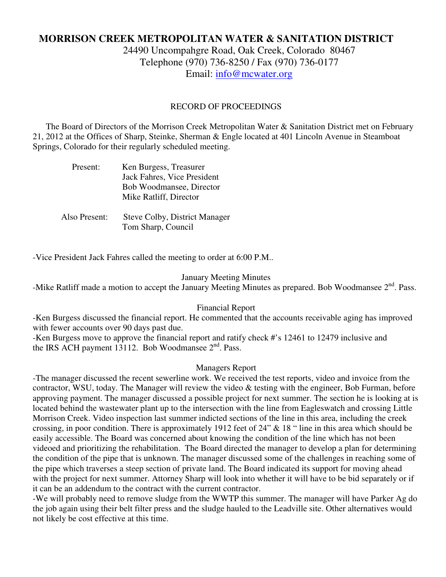# **MORRISON CREEK METROPOLITAN WATER & SANITATION DISTRICT**

24490 Uncompahgre Road, Oak Creek, Colorado 80467 Telephone (970) 736-8250 / Fax (970) 736-0177 Email: info@mcwater.org

#### RECORD OF PROCEEDINGS

 The Board of Directors of the Morrison Creek Metropolitan Water & Sanitation District met on February 21, 2012 at the Offices of Sharp, Steinke, Sherman & Engle located at 401 Lincoln Avenue in Steamboat Springs, Colorado for their regularly scheduled meeting.

| Present:      | Ken Burgess, Treasurer<br>Jack Fahres, Vice President<br>Bob Woodmansee, Director<br>Mike Ratliff, Director |
|---------------|-------------------------------------------------------------------------------------------------------------|
| Also Present: | <b>Steve Colby, District Manager</b><br>Tom Sharp, Council                                                  |

-Vice President Jack Fahres called the meeting to order at 6:00 P.M..

#### January Meeting Minutes

-Mike Ratliff made a motion to accept the January Meeting Minutes as prepared. Bob Woodmansee 2<sup>nd</sup>. Pass.

#### Financial Report

-Ken Burgess discussed the financial report. He commented that the accounts receivable aging has improved with fewer accounts over 90 days past due.

-Ken Burgess move to approve the financial report and ratify check #'s 12461 to 12479 inclusive and the IRS ACH payment 13112. Bob Woodmansee  $2<sup>nd</sup>$ . Pass.

#### Managers Report

-The manager discussed the recent sewerline work. We received the test reports, video and invoice from the contractor, WSU, today. The Manager will review the video & testing with the engineer, Bob Furman, before approving payment. The manager discussed a possible project for next summer. The section he is looking at is located behind the wastewater plant up to the intersection with the line from Eagleswatch and crossing Little Morrison Creek. Video inspection last summer indicted sections of the line in this area, including the creek crossing, in poor condition. There is approximately 1912 feet of 24" & 18 " line in this area which should be easily accessible. The Board was concerned about knowing the condition of the line which has not been videoed and prioritizing the rehabilitation. The Board directed the manager to develop a plan for determining the condition of the pipe that is unknown. The manager discussed some of the challenges in reaching some of the pipe which traverses a steep section of private land. The Board indicated its support for moving ahead with the project for next summer. Attorney Sharp will look into whether it will have to be bid separately or if it can be an addendum to the contract with the current contractor.

-We will probably need to remove sludge from the WWTP this summer. The manager will have Parker Ag do the job again using their belt filter press and the sludge hauled to the Leadville site. Other alternatives would not likely be cost effective at this time.